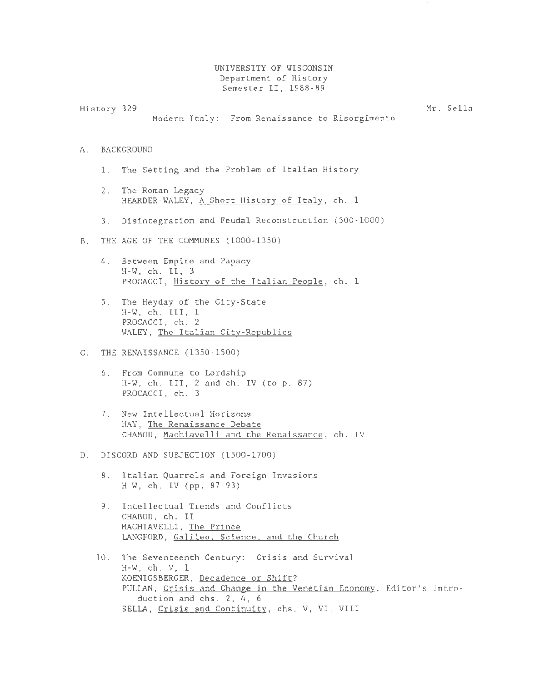UNIVERSITY OF WISCONSIN Department of History Semester II, 1988-89

History 329 Mr. Sella

Modern Italy: From Renaissance to Risorgimento

- A. BACKGROUND
	- 1. The Setting and the Problem of Italian History
	- 2. The Roman Legacy HEARDER-WALEY, A Short History of Italy, ch. <sup>1</sup>
	- 3. Disintegration and Feudal Reconstruction (500-1000)
- B. THE AGE OF THE COMMUNES (1000-1350)
	- 4. Between Empire and Papacy H-W, ch. II, 3 PROCACCI, History of the Italian People, ch. 1
	- 5. The Heyday of the City-State H-W, ch. III, <sup>1</sup> PROCACCI, ch. 2 WALEY, The Italian City-Republics
- C. THE RENAISSANCE (1350-1500)
	- 6. From Commune to Lordship  $H-W$ , ch. III, 2 and ch. IV (to p. 87) PROCACCI, ch. 3
	- 7. New Intellectual Horizons HAY, The Renaissance Debate CHABOD, Machiavelli and the Renaissance, ch. IV
- D. DISCORD AND SUBJECTION (1500-1700)
	- 8. Italian Quarrels and Foreign Invasions H-W, ch. IV (pp. 87-93)
	- 9. Intellectual Trends and Conflicts CHABOD, ch. II MACHIAVELLI, The Prince LANGFORD, Galileo. Science. and the Church
	- 10. The Seventeenth Century: Crisis and Survival H-W, ch. V, 1 KOENIGSBERGER, Decadence or Shift? PULLAN, Crisis and Change in the Venetian Economy, Editor's Introduction and chs. 2, 4, 6 SELLA, Crisis and Continuity, chs. V. VI, VIII